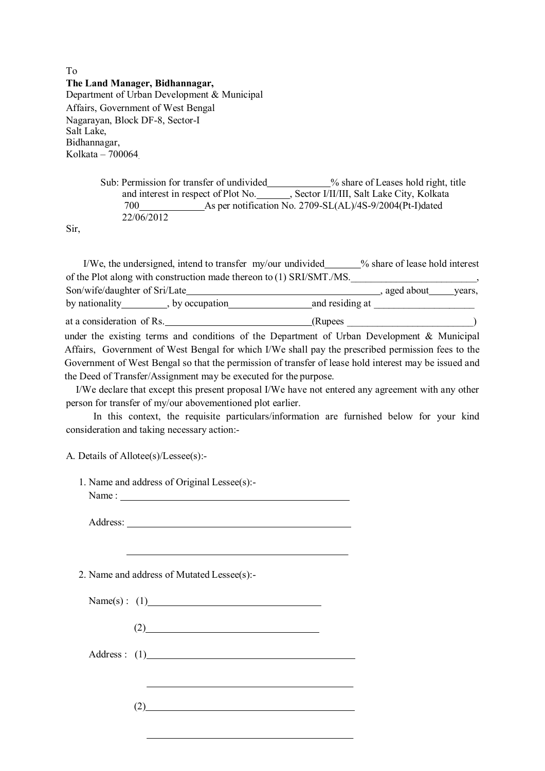To **The Land Manager, Bidhannagar,**  Department of Urban Development & Municipal Affairs, Government of West Bengal Nagarayan, Block DF-8, Sector-I Salt Lake, Bidhannagar, Kolkata – 700064.

> Sub: Permission for transfer of undivided \_\_\_\_\_\_\_\_\_ % share of Leases hold right, title and interest in respect of Plot No. , Sector I/II/III, Salt Lake City, Kolkata 700 As per notification No. 2709-SL(AL)/4S-9/2004(Pt-I)dated 22/06/2012

Sir,

I/We, the undersigned, intend to transfer my/our undivided \_\_\_\_\_% share of lease hold interest of the Plot along with construction made thereon to (1) SRI/SMT./MS.

Son/wife/daughter of Sri/Late , aged about years, by nationality  $\qquad \qquad$ , by occupation and residing at at a consideration of Rs. (Rupees )

under the existing terms and conditions of the Department of Urban Development & Municipal Affairs, Government of West Bengal for which I/We shall pay the prescribed permission fees to the Government of West Bengal so that the permission of transfer of lease hold interest may be issued and the Deed of Transfer/Assignment may be executed for the purpose.

I/We declare that except this present proposal I/We have not entered any agreement with any other person for transfer of my/our abovementioned plot earlier.

In this context, the requisite particulars/information are furnished below for your kind consideration and taking necessary action:-

A. Details of Allotee(s)/Lessee(s):-

- 1. Name and address of Original Lessee(s):-
	- Name :

Address:

2. Name and address of Mutated Lessee(s):-

| Name $(s)$ : (1) |  |
|------------------|--|
|                  |  |

(2)

Address : (1)

 $(2)$  and  $(2)$  and  $(2)$  and  $(2)$  and  $(2)$  and  $(2)$  and  $(2)$  and  $(2)$  and  $(2)$  and  $(2)$  and  $(2)$  and  $(2)$  and  $(2)$  and  $(2)$  and  $(2)$  and  $(2)$  and  $(2)$  and  $(2)$  and  $(2)$  and  $(2)$  and  $(2)$  and  $(2)$  and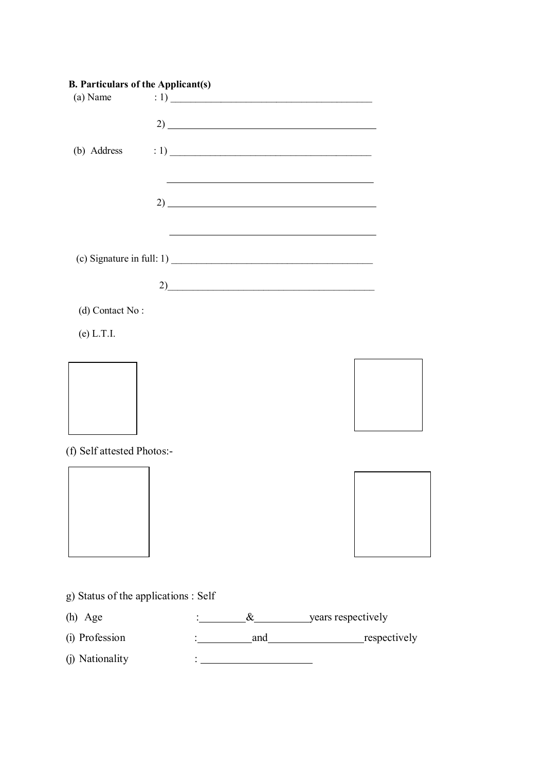| <b>B. Particulars of the Applicant(s)</b> |  |                                                                   |  |
|-------------------------------------------|--|-------------------------------------------------------------------|--|
| (a) Name                                  |  |                                                                   |  |
|                                           |  |                                                                   |  |
|                                           |  |                                                                   |  |
| (b) Address                               |  |                                                                   |  |
|                                           |  |                                                                   |  |
|                                           |  |                                                                   |  |
|                                           |  | $2)$ $\overline{\phantom{a}}$                                     |  |
|                                           |  |                                                                   |  |
|                                           |  |                                                                   |  |
|                                           |  | (c) Signature in full: 1) $\frac{1}{2}$ (c) Signature in full: 1) |  |
|                                           |  | 2)                                                                |  |
| (d) Contact No:                           |  |                                                                   |  |
| (e) L.T.I.                                |  |                                                                   |  |
|                                           |  |                                                                   |  |
|                                           |  |                                                                   |  |
|                                           |  |                                                                   |  |
|                                           |  |                                                                   |  |
|                                           |  |                                                                   |  |
|                                           |  |                                                                   |  |
| (f) Self attested Photos:-                |  |                                                                   |  |
|                                           |  |                                                                   |  |
|                                           |  |                                                                   |  |
|                                           |  |                                                                   |  |
|                                           |  |                                                                   |  |
|                                           |  |                                                                   |  |
|                                           |  |                                                                   |  |
| g) Status of the applications : Self      |  |                                                                   |  |
| (h) Age                                   |  | $\&$ years respectively                                           |  |
| (i) Profession                            |  | and respectively                                                  |  |
|                                           |  |                                                                   |  |
| (j) Nationality                           |  |                                                                   |  |
|                                           |  |                                                                   |  |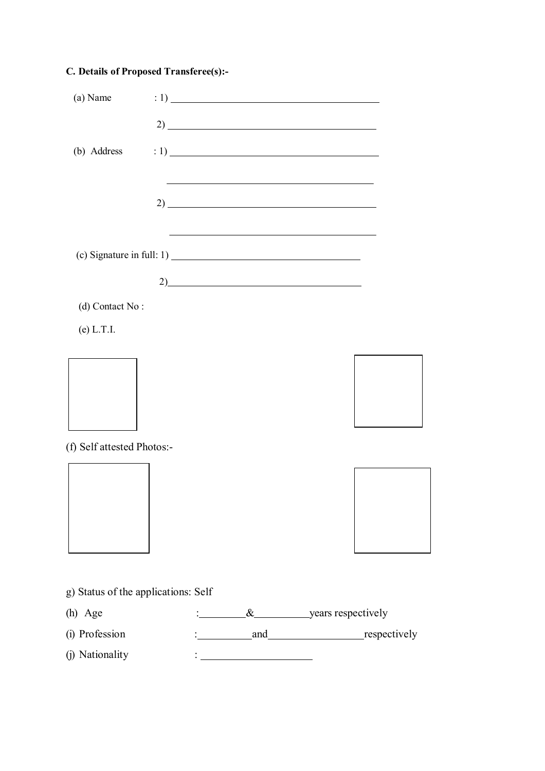## **C. Details of Proposed Transferee(s):-**

| (a) Name                            |  | : 1)                                                                                                                  |  |
|-------------------------------------|--|-----------------------------------------------------------------------------------------------------------------------|--|
|                                     |  |                                                                                                                       |  |
| (b) Address                         |  | $\left(1\right)$ $\frac{1}{\frac{1}{\frac{1}{\frac{1}{\frac{1}{\cdots}}}}\left(1\right)}$                             |  |
|                                     |  |                                                                                                                       |  |
|                                     |  |                                                                                                                       |  |
|                                     |  | <u> 1989 - Johann Stoff, deutscher Stoff, der Stoff, der Stoff, der Stoff, der Stoff, der Stoff, der Stoff, der S</u> |  |
|                                     |  |                                                                                                                       |  |
|                                     |  | 2)                                                                                                                    |  |
| (d) Contact No:                     |  |                                                                                                                       |  |
| $(e)$ L.T.I.                        |  |                                                                                                                       |  |
|                                     |  |                                                                                                                       |  |
|                                     |  |                                                                                                                       |  |
|                                     |  |                                                                                                                       |  |
| (f) Self attested Photos:-          |  |                                                                                                                       |  |
|                                     |  |                                                                                                                       |  |
|                                     |  |                                                                                                                       |  |
|                                     |  |                                                                                                                       |  |
|                                     |  |                                                                                                                       |  |
|                                     |  |                                                                                                                       |  |
| g) Status of the applications: Self |  |                                                                                                                       |  |
| (h) Age                             |  | <u>exerce</u> years respectively                                                                                      |  |
| (i) Profession                      |  |                                                                                                                       |  |
| (j) Nationality                     |  |                                                                                                                       |  |
|                                     |  |                                                                                                                       |  |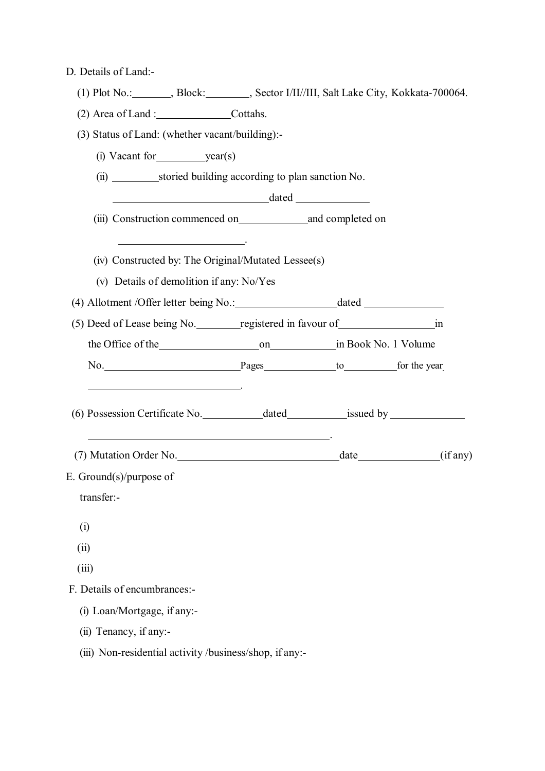D. Details of Land:-

| (1) Plot No.: ________, Block: ________, Sector I/II//III, Salt Lake City, Kokkata-700064.                                                                                                                                     |  |  |
|--------------------------------------------------------------------------------------------------------------------------------------------------------------------------------------------------------------------------------|--|--|
| (2) Area of Land : Cottahs.                                                                                                                                                                                                    |  |  |
| (3) Status of Land: (whether vacant/building):-                                                                                                                                                                                |  |  |
|                                                                                                                                                                                                                                |  |  |
| (ii) _________________storied building according to plan sanction No.                                                                                                                                                          |  |  |
|                                                                                                                                                                                                                                |  |  |
| (iii) Construction commenced on and completed on                                                                                                                                                                               |  |  |
| <u> 1989 - Johann Barbara, politik eta politik eta politikaria (h. 1989).</u><br>(iv) Constructed by: The Original/Mutated Lessee(s)<br>(v) Details of demolition if any: No/Yes                                               |  |  |
|                                                                                                                                                                                                                                |  |  |
| (5) Deed of Lease being No. registered in favour of in many cases in                                                                                                                                                           |  |  |
| the Office of the 1990 on the Common Contract of the Common Contract of the Common Contract of the Common Common Common Common Common Common Common Common Common Common Common Common Common Common Common Common Common Comm |  |  |
| No. Pages to for the year                                                                                                                                                                                                      |  |  |
| <u> 1989 - Johann Stein, Amerikaansk politiker († 1908)</u>                                                                                                                                                                    |  |  |
|                                                                                                                                                                                                                                |  |  |
| E. Ground $(s)/$ purpose of                                                                                                                                                                                                    |  |  |
| transfer:-                                                                                                                                                                                                                     |  |  |
| (i)                                                                                                                                                                                                                            |  |  |
| (ii)                                                                                                                                                                                                                           |  |  |
| (iii)                                                                                                                                                                                                                          |  |  |
| F. Details of encumbrances:-                                                                                                                                                                                                   |  |  |
| (i) Loan/Mortgage, if any:-                                                                                                                                                                                                    |  |  |
| (ii) Tenancy, if any:-                                                                                                                                                                                                         |  |  |
|                                                                                                                                                                                                                                |  |  |

(iii) Non-residential activity /business/shop, if any:-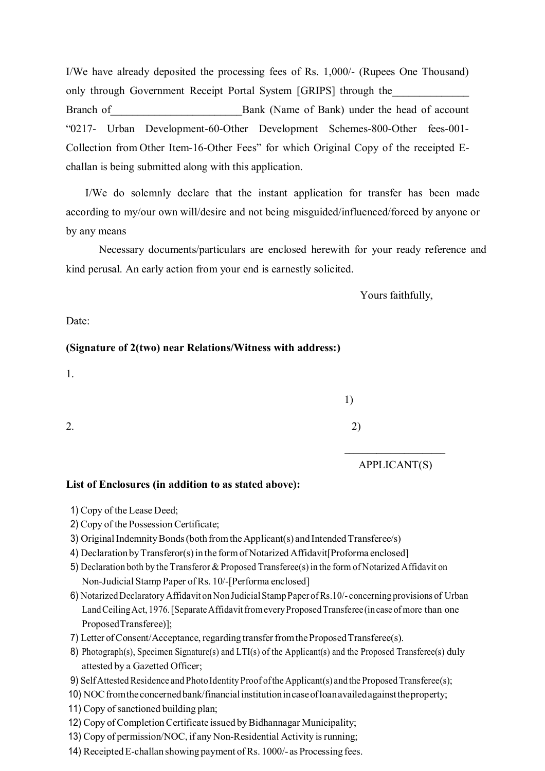I/We have already deposited the processing fees of Rs. 1,000/- (Rupees One Thousand) only through Government Receipt Portal System [GRIPS] through the Branch of Bank (Name of Bank) under the head of account "0217- Urban Development-60-Other Development Schemes-800-Other fees-001- Collection from Other Item-16-Other Fees" for which Original Copy of the receipted Echallan is being submitted along with this application.

I/We do solemnly declare that the instant application for transfer has been made according to my/our own will/desire and not being misguided/influenced/forced by anyone or by any means

Necessary documents/particulars are enclosed herewith for your ready reference and kind perusal. An early action from your end is earnestly solicited.

Yours faithfully,

Date:

#### **(Signature of 2(two) near Relations/Witness with address:)**

1.

 1) 2.  $2)$ 

APPLICANT(S)

#### **List of Enclosures (in addition to as stated above):**

- 1) Copy of the Lease Deed;
- 2) Copy of the Possession Certificate;
- 3) Original Indemnity Bonds (both from the Applicant(s) and Intended Transferee/s)
- 4) Declaration by Transferor(s) in the form of Notarized Affidavit[Proforma enclosed]
- 5) Declaration both by the Transferor & Proposed Transferee(s) in the form of Notarized Affidavit on Non-Judicial Stamp Paper of Rs. 10/-[Performa enclosed]

 $\mathcal{L}_\text{max}$  and  $\mathcal{L}_\text{max}$  and  $\mathcal{L}_\text{max}$  and  $\mathcal{L}_\text{max}$  and  $\mathcal{L}_\text{max}$ 

- 6) Notarized Declaratory Affidavit on Non Judicial Stamp Paper of Rs.10/- concerning provisions of Urban Land Ceiling Act, 1976. [Separate Affidavit from every Proposed Transferee (in case of more than one Proposed Transferee)];
- 7) Letter of Consent/Acceptance, regarding transfer from the Proposed Transferee(s).
- 8) Photograph(s), Specimen Signature(s) and LTI(s) of the Applicant(s) and the Proposed Transferee(s) duly attested by a Gazetted Officer;
- 9) Self Attested Residence and Photo Identity Proof of the Applicant(s) and the Proposed Transferee(s);
- 10) NOC from the concerned bank/financial institution in case of loan availed against the property;

11) Copy of sanctioned building plan;

- 12) Copy of Completion Certificate issued by Bidhannagar Municipality;
- 13) Copy of permission/NOC, if any Non-Residential Activity is running;
- 14) Receipted E-challan showing payment of Rs. 1000/- as Processing fees.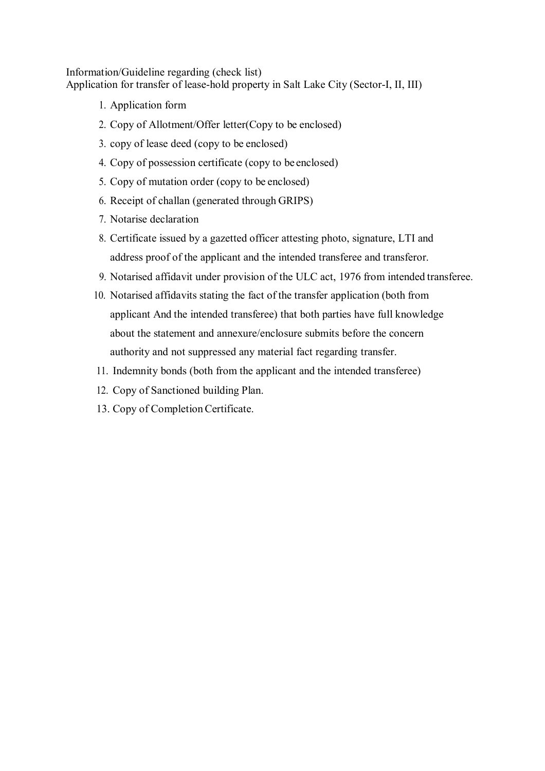Information/Guideline regarding (check list) Application for transfer of lease-hold property in Salt Lake City (Sector-I, II, III)

- 1. Application form
- 2. Copy of Allotment/Offer letter(Copy to be enclosed)
- 3. copy of lease deed (copy to be enclosed)
- 4. Copy of possession certificate (copy to be enclosed)
- 5. Copy of mutation order (copy to be enclosed)
- 6. Receipt of challan (generated through GRIPS)
- 7. Notarise declaration
- 8. Certificate issued by a gazetted officer attesting photo, signature, LTI and address proof of the applicant and the intended transferee and transferor.
- 9. Notarised affidavit under provision of the ULC act, 1976 from intended transferee.
- 10. Notarised affidavits stating the fact of the transfer application (both from applicant And the intended transferee) that both parties have full knowledge about the statement and annexure/enclosure submits before the concern authority and not suppressed any material fact regarding transfer.
- 11. Indemnity bonds (both from the applicant and the intended transferee)
- 12. Copy of Sanctioned building Plan.
- 13. Copy of Completion Certificate.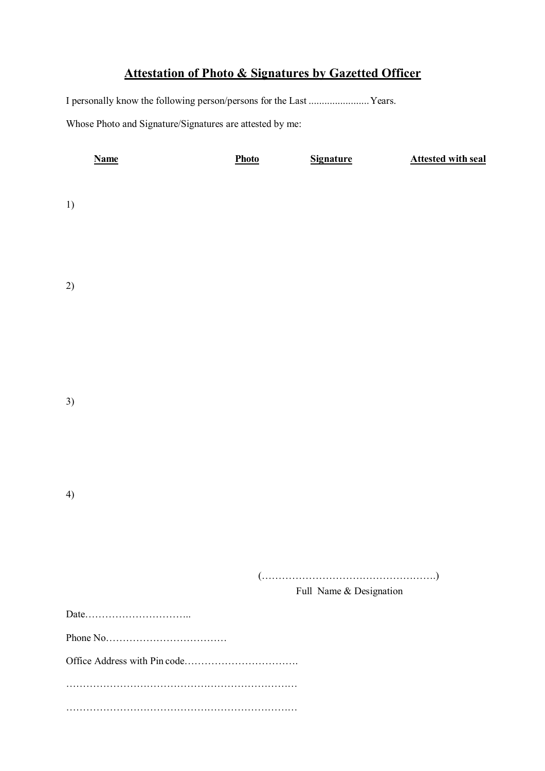# **Attestation of Photo & Signatures by Gazetted Officer**

I personally know the following person/persons for the Last ....................... Years.

Whose Photo and Signature/Signatures are attested by me:

| <b>Name</b> | Photo | <b>Signature</b>                                                           | <b>Attested with seal</b> |
|-------------|-------|----------------------------------------------------------------------------|---------------------------|
|             |       |                                                                            |                           |
| 1)          |       |                                                                            |                           |
|             |       |                                                                            |                           |
|             |       |                                                                            |                           |
|             |       |                                                                            |                           |
| 2)          |       |                                                                            |                           |
|             |       |                                                                            |                           |
|             |       |                                                                            |                           |
|             |       |                                                                            |                           |
|             |       |                                                                            |                           |
|             |       |                                                                            |                           |
| 3)          |       |                                                                            |                           |
|             |       |                                                                            |                           |
|             |       |                                                                            |                           |
|             |       |                                                                            |                           |
|             |       |                                                                            |                           |
| 4)          |       |                                                                            |                           |
|             |       |                                                                            |                           |
|             |       |                                                                            |                           |
|             |       |                                                                            |                           |
|             |       | $(\ldots,\ldots,\ldots,\ldots,\ldots,\ldots,\ldots,\ldots,\ldots,\ldots))$ |                           |
|             |       | Full Name & Designation                                                    |                           |
|             |       |                                                                            |                           |
|             |       |                                                                            |                           |
|             |       |                                                                            |                           |
|             |       |                                                                            |                           |
|             |       |                                                                            |                           |
|             |       |                                                                            |                           |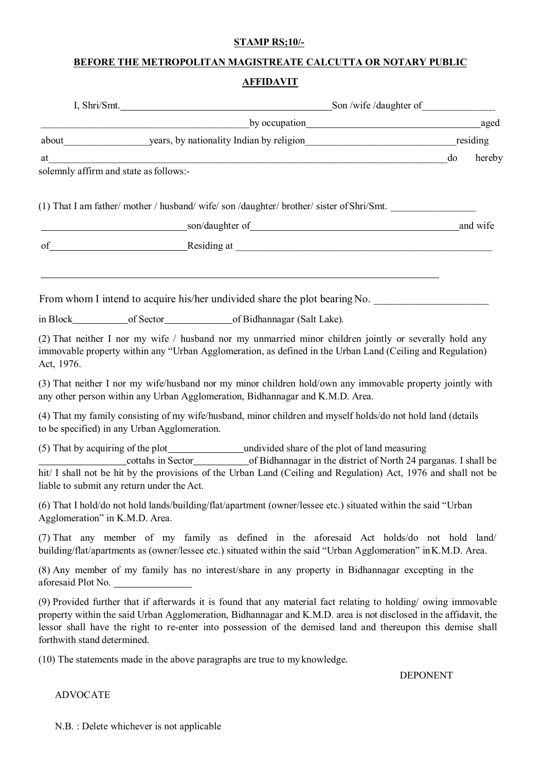#### **STAMP RS;10/-**

## **BEFORE THE METROPOLITAN MAGISTREATE CALCUTTA OR NOTARY PUBLIC**

## **AFFIDAVIT**

|                             |                                              | I, Shri/Smt. Son /wife /daughter of                                                                                                                                                                                                                                                                                                               |              |
|-----------------------------|----------------------------------------------|---------------------------------------------------------------------------------------------------------------------------------------------------------------------------------------------------------------------------------------------------------------------------------------------------------------------------------------------------|--------------|
|                             |                                              |                                                                                                                                                                                                                                                                                                                                                   |              |
|                             |                                              |                                                                                                                                                                                                                                                                                                                                                   |              |
| at                          |                                              |                                                                                                                                                                                                                                                                                                                                                   | do<br>hereby |
|                             | solemnly affirm and state as follows:-       |                                                                                                                                                                                                                                                                                                                                                   |              |
|                             |                                              |                                                                                                                                                                                                                                                                                                                                                   |              |
|                             |                                              | (1) That I am father/ mother / husband/ wife/ son /daughter/ brother/ sister of Shri/Smt.                                                                                                                                                                                                                                                         |              |
|                             |                                              | son/daughter of https://www.assett.com/daughter.com/daughter.com/daughter.com/                                                                                                                                                                                                                                                                    | and wife     |
|                             |                                              | of Residing at Residing at Residing 2018                                                                                                                                                                                                                                                                                                          |              |
|                             |                                              | From whom I intend to acquire his/her undivided share the plot bearing No.                                                                                                                                                                                                                                                                        |              |
|                             |                                              | in Block of Sector<br>of Bidhannagar (Salt Lake).                                                                                                                                                                                                                                                                                                 |              |
| Act, 1976.                  |                                              | (2) That neither I nor my wife / husband nor my unmarried minor children jointly or severally hold any<br>immovable property within any "Urban Agglomeration, as defined in the Urban Land (Ceiling and Regulation)                                                                                                                               |              |
|                             |                                              | (3) That neither I nor my wife/husband nor my minor children hold/own any immovable property jointly with<br>any other person within any Urban Agglomeration, Bidhannagar and K.M.D. Area.                                                                                                                                                        |              |
|                             | to be specified) in any Urban Agglomeration. | (4) That my family consisting of my wife/husband, minor children and myself holds/do not hold land (details                                                                                                                                                                                                                                       |              |
|                             | liable to submit any return under the Act.   | cottahs in Sector of Bidhannagar in the district of North 24 parganas. I shall be<br>hit/ I shall not be hit by the provisions of the Urban Land (Ceiling and Regulation) Act, 1976 and shall not be                                                                                                                                              |              |
|                             | Agglomeration" in K.M.D. Area.               | (6) That I hold/do not hold lands/building/flat/apartment (owner/lessee etc.) situated within the said "Urban                                                                                                                                                                                                                                     |              |
|                             |                                              | (7) That any member of my family as defined in the aforesaid Act holds/do not hold land/<br>building/flat/apartments as (owner/lessee etc.) situated within the said "Urban Agglomeration" in K.M.D. Area.                                                                                                                                        |              |
|                             | aforesaid Plot No.                           | (8) Any member of my family has no interest/share in any property in Bidhannagar excepting in the                                                                                                                                                                                                                                                 |              |
| forthwith stand determined. |                                              | (9) Provided further that if afterwards it is found that any material fact relating to holding/owing immovable<br>property within the said Urban Agglomeration, Bidhannagar and K.M.D. area is not disclosed in the affidavit, the<br>lessor shall have the right to re-enter into possession of the demised land and thereupon this demise shall |              |
|                             |                                              | (10) The statements made in the above paragraphs are true to my knowledge.                                                                                                                                                                                                                                                                        |              |
|                             |                                              | <b>DEPONENT</b>                                                                                                                                                                                                                                                                                                                                   |              |
|                             |                                              |                                                                                                                                                                                                                                                                                                                                                   |              |

N.B. : Delete whichever is not applicable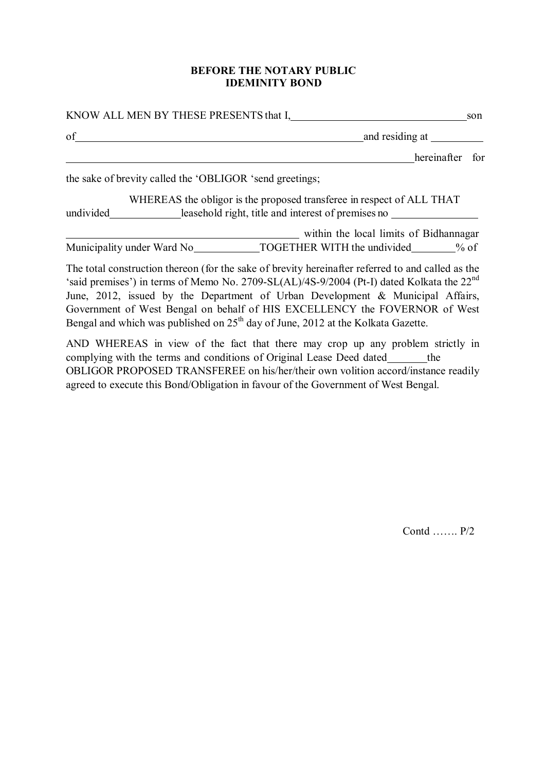#### **BEFORE THE NOTARY PUBLIC IDEMINITY BOND**

| KNOW ALL MEN BY THESE PRESENTS that I,                                                                                                                                                                                                                                                       | son |
|----------------------------------------------------------------------------------------------------------------------------------------------------------------------------------------------------------------------------------------------------------------------------------------------|-----|
| of                                                                                                                                                                                                                                                                                           |     |
| hereinafter for                                                                                                                                                                                                                                                                              |     |
| the sake of brevity called the 'OBLIGOR 'send greetings;                                                                                                                                                                                                                                     |     |
| WHEREAS the obligor is the proposed transferee in respect of ALL THAT<br>undivided leasehold right, title and interest of premises no                                                                                                                                                        |     |
| within the local limits of Bidhannagar                                                                                                                                                                                                                                                       |     |
| Municipality under Ward No TOGETHER WITH the undivided % of                                                                                                                                                                                                                                  |     |
| The total construction thereon (for the sake of brevity hereinafter referred to and called as the<br>'said premises') in terms of Memo No. 2709-SL(AL)/4S-9/2004 (Pt-I) dated Kolkata the 22 <sup>nd</sup><br>June, 2012, issued by the Department of Urban Development & Municipal Affairs, |     |

Government of West Bengal on behalf of HIS EXCELLENCY the FOVERNOR of West Bengal and which was published on 25<sup>th</sup> day of June, 2012 at the Kolkata Gazette. AND WHEREAS in view of the fact that there may crop up any problem strictly in

complying with the terms and conditions of Original Lease Deed dated \_\_\_\_\_\_\_ the OBLIGOR PROPOSED TRANSFEREE on his/her/their own volition accord/instance readily agreed to execute this Bond/Obligation in favour of the Government of West Bengal.

Contd ……. P/2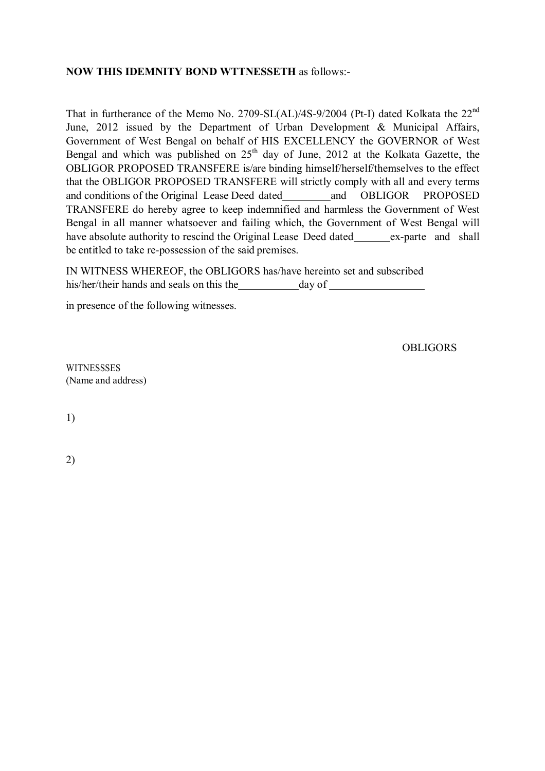#### **NOW THIS IDEMNITY BOND WTTNESSETH** as follows:-

That in furtherance of the Memo No. 2709-SL(AL)/4S-9/2004 (Pt-I) dated Kolkata the 22<sup>nd</sup> June, 2012 issued by the Department of Urban Development & Municipal Affairs, Government of West Bengal on behalf of HIS EXCELLENCY the GOVERNOR of West Bengal and which was published on  $25<sup>th</sup>$  day of June, 2012 at the Kolkata Gazette, the OBLIGOR PROPOSED TRANSFERE is/are binding himself/herself/themselves to the effect that the OBLIGOR PROPOSED TRANSFERE will strictly comply with all and every terms and conditions of the Original Lease Deed dated and OBLIGOR PROPOSED TRANSFERE do hereby agree to keep indemnified and harmless the Government of West Bengal in all manner whatsoever and failing which, the Government of West Bengal will have absolute authority to rescind the Original Lease Deed dated ex-parte and shall be entitled to take re-possession of the said premises.

IN WITNESS WHEREOF, the OBLIGORS has/have hereinto set and subscribed his/her/their hands and seals on this the day of

in presence of the following witnesses.

**OBLIGORS** 

**WITNESSSES** (Name and address)

1)

2)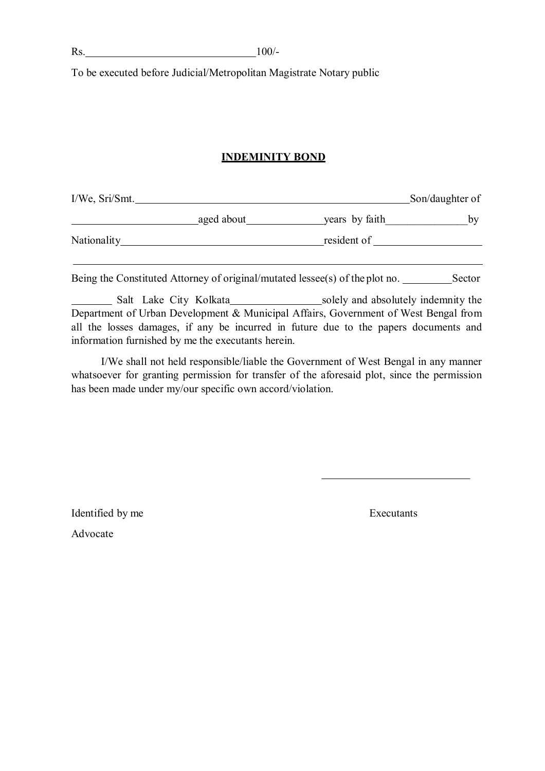To be executed before Judicial/Metropolitan Magistrate Notary public

### **INDEMINITY BOND**

| I/We, Sri/Smt. |            |                | Son/daughter of |
|----------------|------------|----------------|-----------------|
|                | aged about | years by faith | bv              |
| Nationality    |            | resident of    |                 |
|                |            |                |                 |

Being the Constituted Attorney of original/mutated lessee(s) of the plot no. Sector

Salt Lake City Kolkata solely and absolutely indemnity the Department of Urban Development & Municipal Affairs, Government of West Bengal from all the losses damages, if any be incurred in future due to the papers documents and information furnished by me the executants herein.

I/We shall not held responsible/liable the Government of West Bengal in any manner whatsoever for granting permission for transfer of the aforesaid plot, since the permission has been made under my/our specific own accord/violation.

Identified by me Executants

Advocate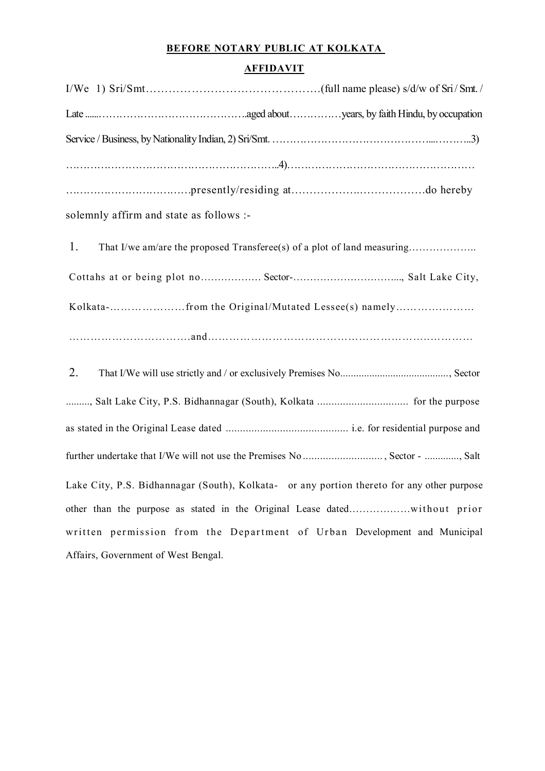# **BEFORE NOTARY PUBLIC AT KOLKATA**

## **AFFIDAVIT**

|    | solemnly affirm and state as follows :-                                                    |
|----|--------------------------------------------------------------------------------------------|
| 1. |                                                                                            |
|    | Cottahs at or being plot no Sector-, Salt Lake City,                                       |
|    | Kolkata-from the Original/Mutated Lessee(s) namely                                         |
|    |                                                                                            |
| 2. |                                                                                            |
|    | , Salt Lake City, P.S. Bidhannagar (South), Kolkata  for the purpose                       |
|    |                                                                                            |
|    | further undertake that I/We will not use the Premises No , Sector - , Salt                 |
|    | Lake City, P.S. Bidhannagar (South), Kolkata- or any portion thereto for any other purpose |
|    |                                                                                            |
|    | written permission from the Department of Urban Development and Municipal                  |
|    | Affairs, Government of West Bengal.                                                        |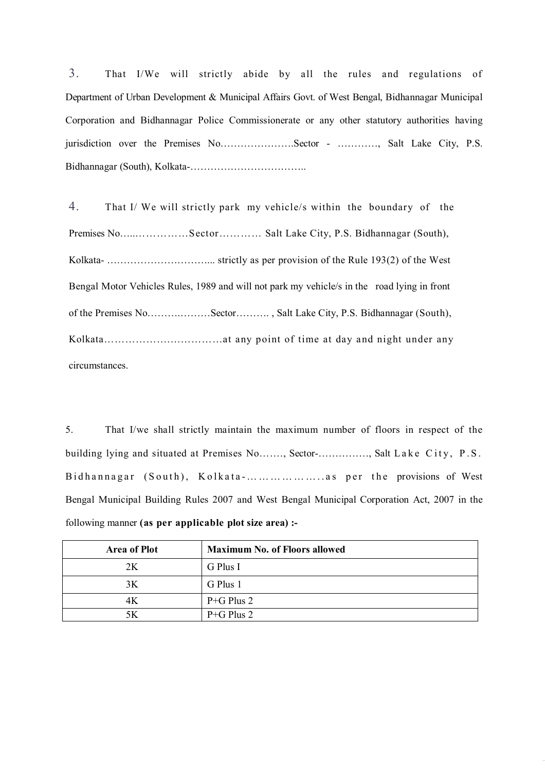3. That I/We will strictly abide by all the rules and regulations of Department of Urban Development & Municipal Affairs Govt. of West Bengal, Bidhannagar Municipal Corporation and Bidhannagar Police Commissionerate or any other statutory authorities having jurisdiction over the Premises No………………….Sector - …………, Salt Lake City, P.S. Bidhannagar (South), Kolkata-……………………………..

4. That I/ We will strictly park my vehicle/s within the boundary of the Premises No…..……………Sector………… Salt Lake City, P.S. Bidhannagar (South), Kolkata- …………………………... strictly as per provision of the Rule 193(2) of the West Bengal Motor Vehicles Rules, 1989 and will not park my vehicle/s in the road lying in front of the Premises No……….………Sector………. , Salt Lake City, P.S. Bidhannagar (South), Kolkata……………….……………at any point of time at day and night under any circumstances.

5. That I/we shall strictly maintain the maximum number of floors in respect of the building lying and situated at Premises No......, Sector-.............., Salt Lake City, P.S. Bidhannagar (South), Kolkata-.......................... as per the provisions of West Bengal Municipal Building Rules 2007 and West Bengal Municipal Corporation Act, 2007 in the following manner **(as per applicable plot size area) :-**

| <b>Area of Plot</b> | <b>Maximum No. of Floors allowed</b> |
|---------------------|--------------------------------------|
| 2K                  | G Plus I                             |
| 3K                  | G Plus 1                             |
| 4К                  | $P + G$ Plus 2                       |
| 5Κ                  | $P + G$ Plus 2                       |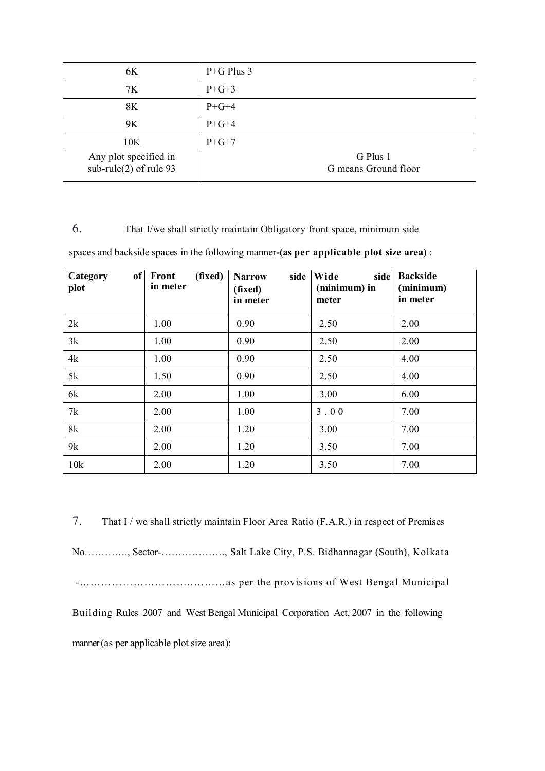| 6K                                                | $P+G$ Plus 3                     |
|---------------------------------------------------|----------------------------------|
| 7K                                                | $P + G + 3$                      |
| 8K                                                | $P+G+4$                          |
| 9K                                                | $P+G+4$                          |
| 10K                                               | $P + G + 7$                      |
| Any plot specified in<br>$sub-rule(2)$ of rule 93 | G Plus 1<br>G means Ground floor |

### 6. That I/we shall strictly maintain Obligatory front space, minimum side

spaces and backside spaces in the following manner**-(as per applicable plot size area)** :

| Category<br>plot | of Front<br>(fixed)<br>in meter | side<br><b>Narrow</b><br>(fixed)<br>in meter | Wide<br>side<br>(minimum) in<br>meter | <b>Backside</b><br>(minimum)<br>in meter |
|------------------|---------------------------------|----------------------------------------------|---------------------------------------|------------------------------------------|
| 2k               | 1.00                            | 0.90                                         | 2.50                                  | 2.00                                     |
| 3k               | 1.00                            | 0.90                                         | 2.50                                  | 2.00                                     |
| 4k               | 1.00                            | 0.90                                         | 2.50                                  | 4.00                                     |
| 5k               | 1.50                            | 0.90                                         | 2.50                                  | 4.00                                     |
| 6k               | 2.00                            | 1.00                                         | 3.00                                  | 6.00                                     |
| 7k               | 2.00                            | 1.00                                         | 3.00                                  | 7.00                                     |
| 8k               | 2.00                            | 1.20                                         | 3.00                                  | 7.00                                     |
| 9k               | 2.00                            | 1.20                                         | 3.50                                  | 7.00                                     |
| 10k              | 2.00                            | 1.20                                         | 3.50                                  | 7.00                                     |

7. That I / we shall strictly maintain Floor Area Ratio (F.A.R.) in respect of Premises No…………., Sector-………………., Salt Lake City, P.S. Bidhannagar (South), Kolkata -…………………………..………as per the provisions of West Bengal Municipal Building Rules 2007 and West Bengal Municipal Corporation Act, 2007 in the following manner (as per applicable plot size area):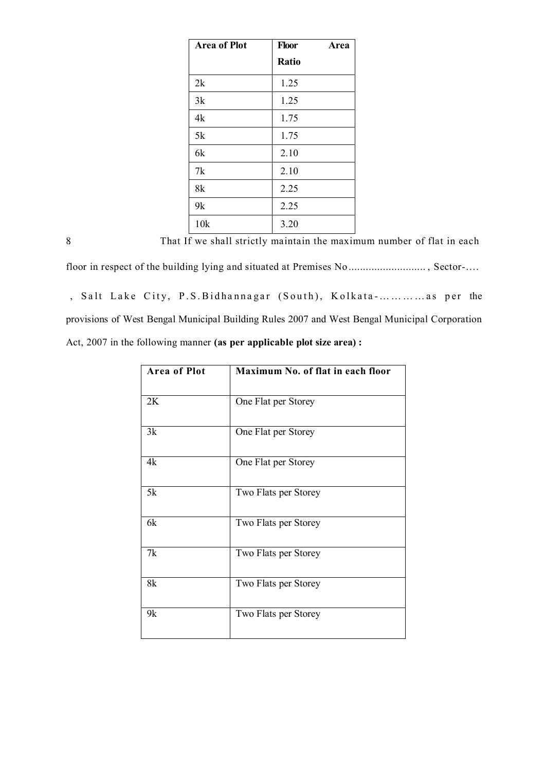| <b>Area of Plot</b> | Floor | Area |
|---------------------|-------|------|
|                     | Ratio |      |
| 2k                  | 1.25  |      |
| 3k                  | 1.25  |      |
| 4k                  | 1.75  |      |
| 5k                  | 1.75  |      |
| 6k                  | 2.10  |      |
| 7k                  | 2.10  |      |
| 8k                  | 2.25  |      |
| 9k                  | 2.25  |      |
| 10k                 | 3.20  |      |

8. That If we shall strictly maintain the maximum number of flat in each

floor in respect of the building lying and situated at Premises No ................................. , Sector-.... , Salt Lake City, P.S. Bidhannagar (South), Kolkata-............ as per the provisions of West Bengal Municipal Building Rules 2007 and West Bengal Municipal Corporation Act, 2007 in the following manner **(as per applicable plot size area) :** 

| <b>Area of Plot</b> | Maximum No. of flat in each floor |
|---------------------|-----------------------------------|
| 2K                  | One Flat per Storey               |
| 3k                  | One Flat per Storey               |
| 4k                  | One Flat per Storey               |
| 5k                  | Two Flats per Storey              |
| 6k                  | Two Flats per Storey              |
| 7k                  | Two Flats per Storey              |
| 8k                  | Two Flats per Storey              |
| 9k                  | Two Flats per Storey              |